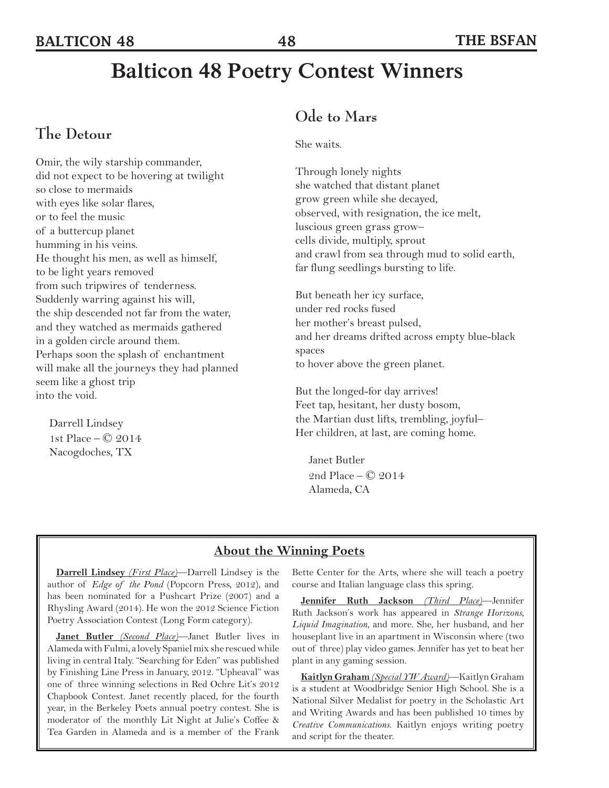# **Balticon 48 Poetry Contest Winners**

### **The Detour**

Omir, the wily starship commander, did not expect to be hovering at twilight so close to mermaids with eyes like solar flares, or to feel the music of a buttercup planet humming in his veins. He thought his men, as well as himself, to be light years removed from such tripwires of tenderness. Suddenly warring against his will, the ship descended not far from the water, and they watched as mermaids gathered in a golden circle around them. Perhaps soon the splash of enchantment will make all the journeys they had planned seem like a ghost trip into the void.

Darrell Lindsey 1st Place – © 2014 Nacogdoches, TX

### **Ode to Mars**

She waits.

Through lonely nights she watched that distant planet grow green while she decayed, observed, with resignation, the ice melt, luscious green grass grow– cells divide, multiply, sprout and crawl from sea through mud to solid earth, far flung seedlings bursting to life.

But beneath her icy surface, under red rocks fused her mother's breast pulsed, and her dreams drifted across empty blue-black spaces to hover above the green planet.

But the longed-for day arrives! Feet tap, hesitant, her dusty bosom, the Martian dust lifts, trembling, joyful– Her children, at last, are coming home.

Janet Butler 2nd Place – © 2014 Alameda, CA

#### **About the Winning Poets**

**Darrell Lindsey** *(First Place)*—Darrell Lindsey is the author of *Edge of the Pond* (Popcorn Press, 2012), and has been nominated for a Pushcart Prize (2007) and a Rhysling Award (2014). He won the 2012 Science Fiction Poetry Association Contest (Long Form category).

**Janet Butler** *(Second Place)*—Janet Butler lives in Alameda with Fulmi, a lovely Spaniel mix she rescued while living in central Italy. "Searching for Eden" was published by Finishing Line Press in January, 2012. "Upheaval" was one of three winning selections in Red Ochre Lit's 2012 Chapbook Contest. Janet recently placed, for the fourth year, in the Berkeley Poets annual poetry contest. She is moderator of the monthly Lit Night at Julie's Coffee & Tea Garden in Alameda and is a member of the Frank

Bette Center for the Arts, where she will teach a poetry course and Italian language class this spring.

**Jennifer Ruth Jackson** *(Third Place)*—Jennifer Ruth Jackson's work has appeared in *Strange Horizons*, *Liquid Imagination*, and more. She, her husband, and her houseplant live in an apartment in Wisconsin where (two out of three) play video games. Jennifer has yet to beat her plant in any gaming session.

**Kaitlyn Graham** *(Special YW Award)*—Kaitlyn Graham is a student at Woodbridge Senior High School. She is a National Silver Medalist for poetry in the Scholastic Art and Writing Awards and has been published 10 times by *Creative Communications*. Kaitlyn enjoys writing poetry and script for the theater.